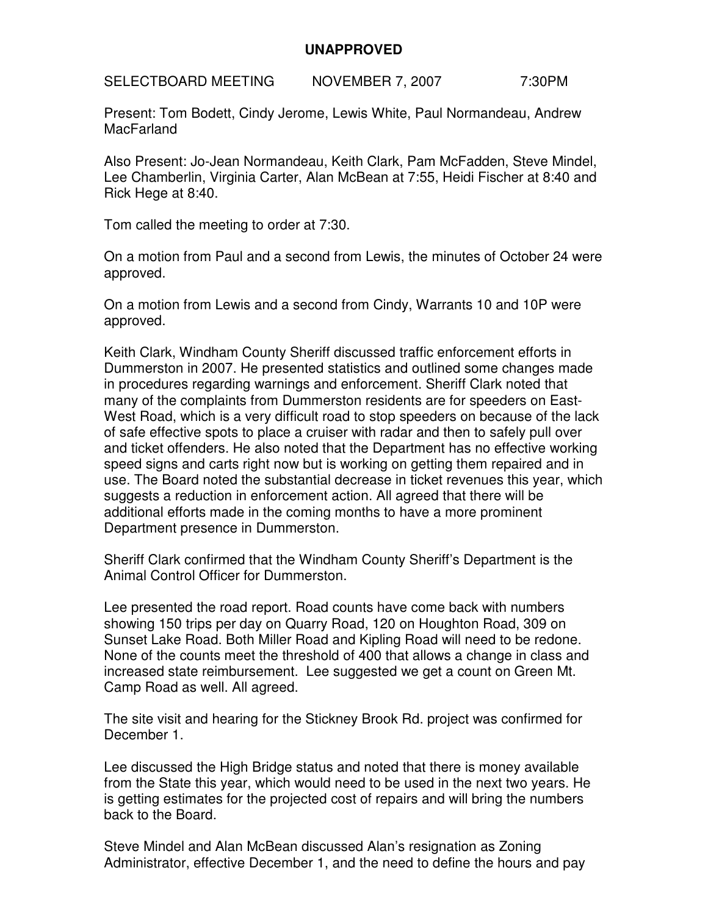## **UNAPPROVED**

SELECTBOARD MEETING NOVEMBER 7, 2007 7:30PM

Present: Tom Bodett, Cindy Jerome, Lewis White, Paul Normandeau, Andrew **MacFarland** 

Also Present: Jo-Jean Normandeau, Keith Clark, Pam McFadden, Steve Mindel, Lee Chamberlin, Virginia Carter, Alan McBean at 7:55, Heidi Fischer at 8:40 and Rick Hege at 8:40.

Tom called the meeting to order at 7:30.

On a motion from Paul and a second from Lewis, the minutes of October 24 were approved.

On a motion from Lewis and a second from Cindy, Warrants 10 and 10P were approved.

Keith Clark, Windham County Sheriff discussed traffic enforcement efforts in Dummerston in 2007. He presented statistics and outlined some changes made in procedures regarding warnings and enforcement. Sheriff Clark noted that many of the complaints from Dummerston residents are for speeders on East-West Road, which is a very difficult road to stop speeders on because of the lack of safe effective spots to place a cruiser with radar and then to safely pull over and ticket offenders. He also noted that the Department has no effective working speed signs and carts right now but is working on getting them repaired and in use. The Board noted the substantial decrease in ticket revenues this year, which suggests a reduction in enforcement action. All agreed that there will be additional efforts made in the coming months to have a more prominent Department presence in Dummerston.

Sheriff Clark confirmed that the Windham County Sheriff's Department is the Animal Control Officer for Dummerston.

Lee presented the road report. Road counts have come back with numbers showing 150 trips per day on Quarry Road, 120 on Houghton Road, 309 on Sunset Lake Road. Both Miller Road and Kipling Road will need to be redone. None of the counts meet the threshold of 400 that allows a change in class and increased state reimbursement. Lee suggested we get a count on Green Mt. Camp Road as well. All agreed.

The site visit and hearing for the Stickney Brook Rd. project was confirmed for December 1.

Lee discussed the High Bridge status and noted that there is money available from the State this year, which would need to be used in the next two years. He is getting estimates for the projected cost of repairs and will bring the numbers back to the Board.

Steve Mindel and Alan McBean discussed Alan's resignation as Zoning Administrator, effective December 1, and the need to define the hours and pay